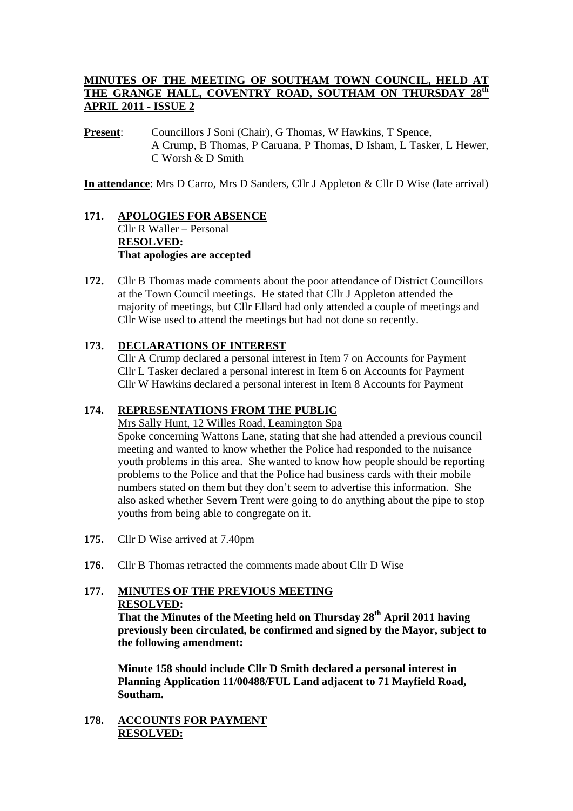# **MINUTES OF THE MEETING OF SOUTHAM TOWN COUNCIL, HELD AT THE GRANGE HALL. COVENTRY ROAD. SOUTHAM ON THURSDAV 28th** THE GRANGE HALL, COVENTRY ROAD, SOUTHAM ON THURSDAY **APRIL 2011 - ISSUE 2**

**Present:** Councillors J Soni (Chair), G Thomas, W Hawkins, T Spence, A Crump, B Thomas, P Caruana, P Thomas, D Isham, L Tasker, L Hewer, C Worsh & D Smith

**In attendance**: Mrs D Carro, Mrs D Sanders, Cllr J Appleton & Cllr D Wise (late arrival)

#### **171. APOLOGIES FOR ABSENCE** Cllr R Waller – Personal **RESOLVED: That apologies are accepted**

**172.** Cllr B Thomas made comments about the poor attendance of District Councillors at the Town Council meetings. He stated that Cllr J Appleton attended the majority of meetings, but Cllr Ellard had only attended a couple of meetings and Cllr Wise used to attend the meetings but had not done so recently.

## **173. DECLARATIONS OF INTEREST**

Cllr A Crump declared a personal interest in Item 7 on Accounts for Payment Cllr L Tasker declared a personal interest in Item 6 on Accounts for Payment Cllr W Hawkins declared a personal interest in Item 8 Accounts for Payment

# **174. REPRESENTATIONS FROM THE PUBLIC**

Mrs Sally Hunt, 12 Willes Road, Leamington Spa

Spoke concerning Wattons Lane, stating that she had attended a previous council meeting and wanted to know whether the Police had responded to the nuisance youth problems in this area. She wanted to know how people should be reporting problems to the Police and that the Police had business cards with their mobile numbers stated on them but they don't seem to advertise this information. She also asked whether Severn Trent were going to do anything about the pipe to stop youths from being able to congregate on it.

- **175.** Cllr D Wise arrived at 7.40pm
- **176.** Cllr B Thomas retracted the comments made about Cllr D Wise

# **177. MINUTES OF THE PREVIOUS MEETING RESOLVED:**

 **That the Minutes of the Meeting held on Thursday 28th April 2011 having previously been circulated, be confirmed and signed by the Mayor, subject to the following amendment:** 

 **Minute 158 should include Cllr D Smith declared a personal interest in Planning Application 11/00488/FUL Land adjacent to 71 Mayfield Road, Southam.** 

**178. ACCOUNTS FOR PAYMENT RESOLVED:**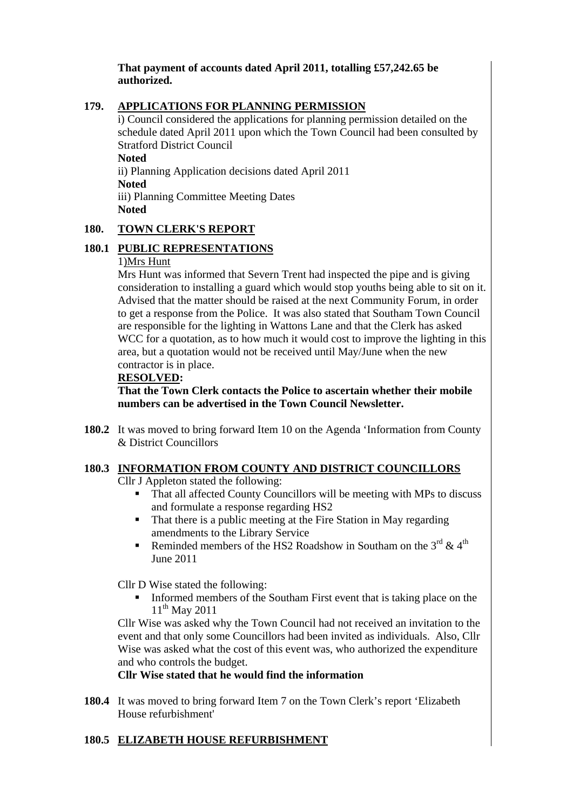## **That payment of accounts dated April 2011, totalling £57,242.65 be authorized.**

## **179. APPLICATIONS FOR PLANNING PERMISSION**

i) Council considered the applications for planning permission detailed on the schedule dated April 2011 upon which the Town Council had been consulted by Stratford District Council **Noted** 

ii) Planning Application decisions dated April 2011 **Noted**  iii) Planning Committee Meeting Dates **Noted** 

#### **180. TOWN CLERK'S REPORT**

# **180.1 PUBLIC REPRESENTATIONS**

#### 1)Mrs Hunt

Mrs Hunt was informed that Severn Trent had inspected the pipe and is giving consideration to installing a guard which would stop youths being able to sit on it. Advised that the matter should be raised at the next Community Forum, in order to get a response from the Police. It was also stated that Southam Town Council are responsible for the lighting in Wattons Lane and that the Clerk has asked WCC for a quotation, as to how much it would cost to improve the lighting in this area, but a quotation would not be received until May/June when the new contractor is in place.

#### **RESOLVED:**

**That the Town Clerk contacts the Police to ascertain whether their mobile numbers can be advertised in the Town Council Newsletter.** 

**180.2** It was moved to bring forward Item 10 on the Agenda 'Information from County & District Councillors

# **180.3 INFORMATION FROM COUNTY AND DISTRICT COUNCILLORS**

Cllr J Appleton stated the following:

- That all affected County Councillors will be meeting with MPs to discuss and formulate a response regarding HS2
- That there is a public meeting at the Fire Station in May regarding amendments to the Library Service
- Reminded members of the HS2 Roadshow in Southam on the  $3^{rd}$  &  $4^{th}$ June 2011

Cllr D Wise stated the following:

 Informed members of the Southam First event that is taking place on the 11<sup>th</sup> May 2011

Cllr Wise was asked why the Town Council had not received an invitation to the event and that only some Councillors had been invited as individuals. Also, Cllr Wise was asked what the cost of this event was, who authorized the expenditure and who controls the budget.

#### **Cllr Wise stated that he would find the information**

**180.4** It was moved to bring forward Item 7 on the Town Clerk's report 'Elizabeth House refurbishment'

#### **180.5 ELIZABETH HOUSE REFURBISHMENT**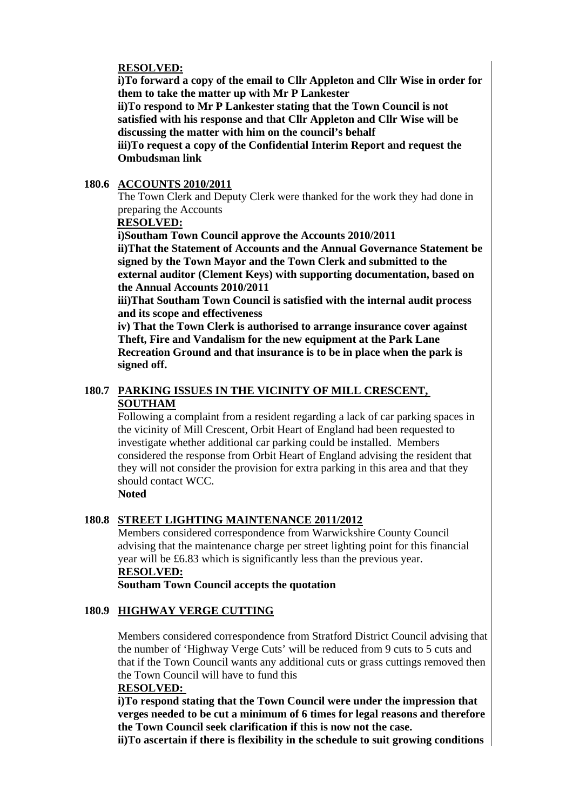### **RESOLVED:**

 **i)To forward a copy of the email to Cllr Appleton and Cllr Wise in order for them to take the matter up with Mr P Lankester** 

 **ii)To respond to Mr P Lankester stating that the Town Council is not satisfied with his response and that Cllr Appleton and Cllr Wise will be discussing the matter with him on the council's behalf** 

 **iii)To request a copy of the Confidential Interim Report and request the Ombudsman link** 

#### **180.6 ACCOUNTS 2010/2011**

The Town Clerk and Deputy Clerk were thanked for the work they had done in preparing the Accounts

## **RESOLVED:**

**i)Southam Town Council approve the Accounts 2010/2011** 

**ii)That the Statement of Accounts and the Annual Governance Statement be signed by the Town Mayor and the Town Clerk and submitted to the external auditor (Clement Keys) with supporting documentation, based on the Annual Accounts 2010/2011** 

**iii)That Southam Town Council is satisfied with the internal audit process and its scope and effectiveness** 

**iv) That the Town Clerk is authorised to arrange insurance cover against Theft, Fire and Vandalism for the new equipment at the Park Lane Recreation Ground and that insurance is to be in place when the park is signed off.** 

# **180.7 PARKING ISSUES IN THE VICINITY OF MILL CRESCENT, SOUTHAM**

Following a complaint from a resident regarding a lack of car parking spaces in the vicinity of Mill Crescent, Orbit Heart of England had been requested to investigate whether additional car parking could be installed. Members considered the response from Orbit Heart of England advising the resident that they will not consider the provision for extra parking in this area and that they should contact WCC.

**Noted** 

# **180.8 STREET LIGHTING MAINTENANCE 2011/2012**

Members considered correspondence from Warwickshire County Council advising that the maintenance charge per street lighting point for this financial year will be £6.83 which is significantly less than the previous year. **RESOLVED:**

**Southam Town Council accepts the quotation** 

# **180.9 HIGHWAY VERGE CUTTING**

Members considered correspondence from Stratford District Council advising that the number of 'Highway Verge Cuts' will be reduced from 9 cuts to 5 cuts and that if the Town Council wants any additional cuts or grass cuttings removed then the Town Council will have to fund this

#### **RESOLVED:**

 **i)To respond stating that the Town Council were under the impression that verges needed to be cut a minimum of 6 times for legal reasons and therefore the Town Council seek clarification if this is now not the case.** 

 **ii)To ascertain if there is flexibility in the schedule to suit growing conditions**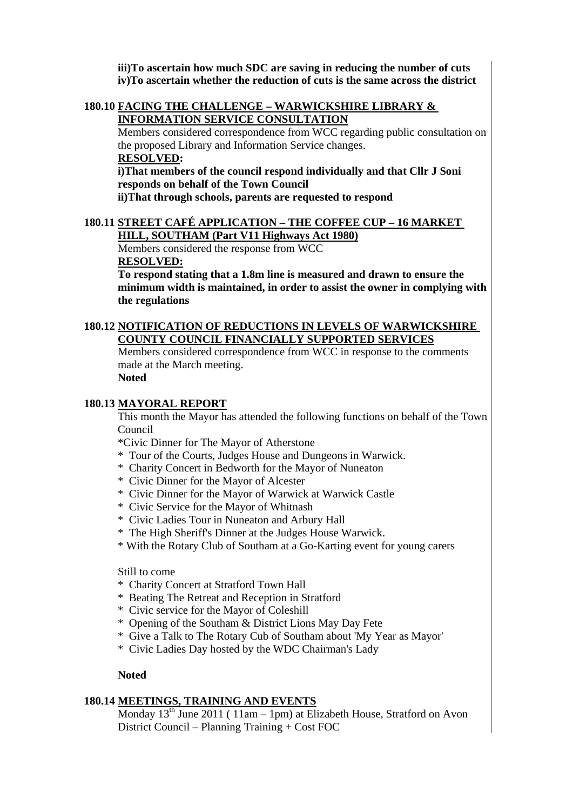**iii)To ascertain how much SDC are saving in reducing the number of cuts iv)To ascertain whether the reduction of cuts is the same across the district** 

#### **180.10 FACING THE CHALLENGE – WARWICKSHIRE LIBRARY & INFORMATION SERVICE CONSULTATION**

Members considered correspondence from WCC regarding public consultation on the proposed Library and Information Service changes.

#### **RESOLVED:**

**i)That members of the council respond individually and that Cllr J Soni responds on behalf of the Town Council** 

**ii)That through schools, parents are requested to respond** 

# **180.11 STREET CAFÉ APPLICATION – THE COFFEE CUP – 16 MARKET**

**HILL, SOUTHAM (Part V11 Highways Act 1980)** Members considered the response from WCC

#### **RESOLVED:**

**To respond stating that a 1.8m line is measured and drawn to ensure the minimum width is maintained, in order to assist the owner in complying with the regulations** 

#### **180.12 NOTIFICATION OF REDUCTIONS IN LEVELS OF WARWICKSHIRE COUNTY COUNCIL FINANCIALLY SUPPORTED SERVICES**

Members considered correspondence from WCC in response to the comments made at the March meeting.

# **Noted**

#### **180.13 MAYORAL REPORT**

This month the Mayor has attended the following functions on behalf of the Town Council

\*Civic Dinner for The Mayor of Atherstone

- \* Tour of the Courts, Judges House and Dungeons in Warwick.
- \* Charity Concert in Bedworth for the Mayor of Nuneaton
- \* Civic Dinner for the Mayor of Alcester
- \* Civic Dinner for the Mayor of Warwick at Warwick Castle
- \* Civic Service for the Mayor of Whitnash
- \* Civic Ladies Tour in Nuneaton and Arbury Hall
- \* The High Sheriff's Dinner at the Judges House Warwick.
- \* With the Rotary Club of Southam at a Go-Karting event for young carers

Still to come

- \* Charity Concert at Stratford Town Hall
- \* Beating The Retreat and Reception in Stratford
- \* Civic service for the Mayor of Coleshill
- \* Opening of the Southam & District Lions May Day Fete
- \* Give a Talk to The Rotary Cub of Southam about 'My Year as Mayor'
- \* Civic Ladies Day hosted by the WDC Chairman's Lady

#### **Noted**

#### **180.14 MEETINGS, TRAINING AND EVENTS**

Monday  $13^{th}$  June 2011 (11am – 1pm) at Elizabeth House, Stratford on Avon District Council – Planning Training + Cost FOC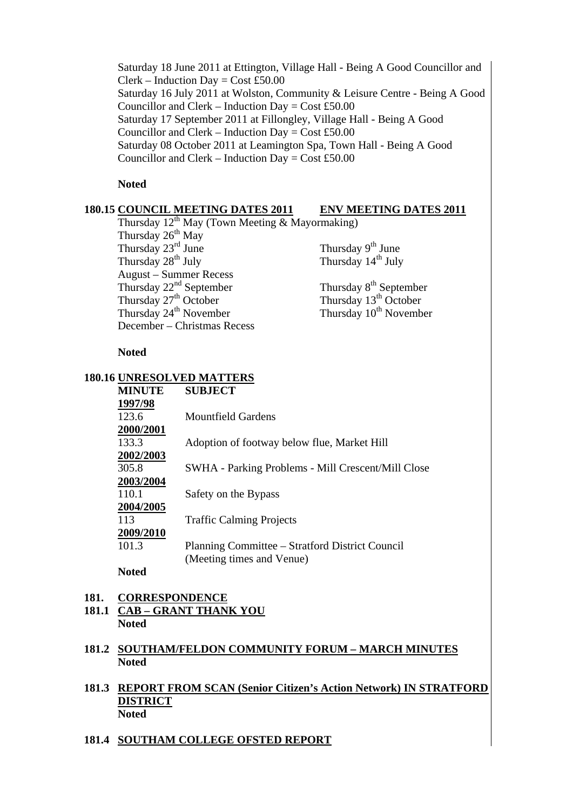Saturday 18 June 2011 at Ettington, Village Hall - Being A Good Councillor and  $Clerk - Induction$  Day = Cost £50.00 Saturday 16 July 2011 at Wolston, Community & Leisure Centre - Being A Good Councillor and Clerk – Induction Day = Cost £50.00 Saturday 17 September 2011 at Fillongley, Village Hall - Being A Good Councillor and Clerk – Induction Day = Cost £50.00 Saturday 08 October 2011 at Leamington Spa, Town Hall - Being A Good Councillor and Clerk – Induction Day =  $Cost £50.00$ 

#### **Noted**

#### **180.15 COUNCIL MEETING DATES 2011 ENV MEETING DATES 2011**

Thursday  $12^{th}$  May (Town Meeting & Mayormaking) Thursday  $26<sup>th</sup>$  May Thursday  $23^{\text{rd}}$  June<br>Thursday  $28^{\text{th}}$  July<br>Thursday  $14^{\text{th}}$  July<br>Thursday  $14^{\text{th}}$  July August – Summer Recess Thursday  $22^{nd}$  September<br>Thursday  $27^{th}$  October<br>Thursday  $13^{th}$  October<br>Thursday  $13^{th}$  October Thursday  $24<sup>th</sup>$  November December – Christmas Recess

Thursday  $14<sup>th</sup>$  July

Thursday  $13^{th}$  October<br>Thursday  $10^{th}$  November

#### **Noted**

#### **180.16 UNRESOLVED MATTERS**

| <b>MINUTE</b>    | <b>SUBJECT</b>                                     |
|------------------|----------------------------------------------------|
| 1997/98          |                                                    |
| 123.6            | <b>Mountfield Gardens</b>                          |
| <b>2000/2001</b> |                                                    |
| 133.3            | Adoption of footway below flue, Market Hill        |
| 2002/2003        |                                                    |
| 305.8            | SWHA - Parking Problems - Mill Crescent/Mill Close |
| 2003/2004        |                                                    |
| 110.1            | Safety on the Bypass                               |
| 2004/2005        |                                                    |
| 113              | <b>Traffic Calming Projects</b>                    |
| 2009/2010        |                                                    |
| 101.3            | Planning Committee – Stratford District Council    |
|                  | (Meeting times and Venue)                          |
| .                |                                                    |

**Noted** 

- **181. CORRESPONDENCE 181.1 CAB – GRANT THANK YOU**
	- **Noted**
- **181.2 SOUTHAM/FELDON COMMUNITY FORUM MARCH MINUTES Noted**
- **181.3 REPORT FROM SCAN (Senior Citizen's Action Network) IN STRATFORD DISTRICT Noted**
- **181.4 SOUTHAM COLLEGE OFSTED REPORT**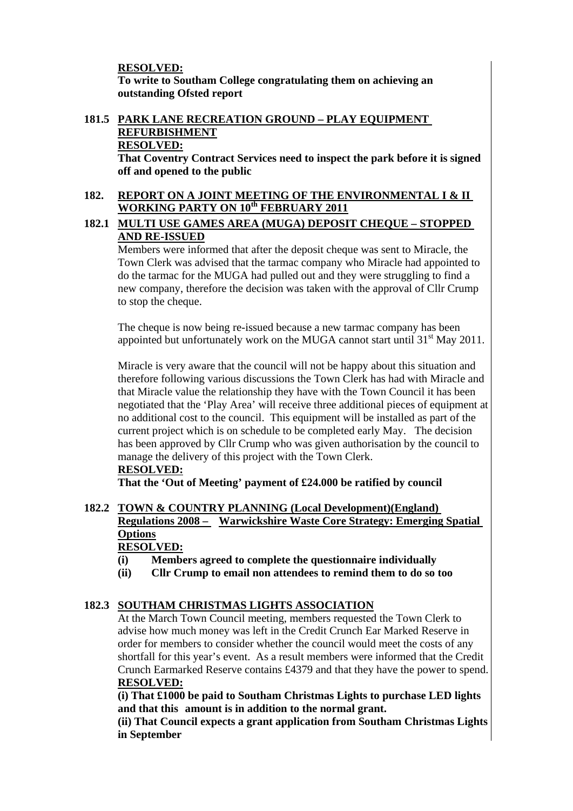## **RESOLVED:**

**To write to Southam College congratulating them on achieving an outstanding Ofsted report** 

# **181.5 PARK LANE RECREATION GROUND – PLAY EQUIPMENT REFURBISHMENT RESOLVED:**

**That Coventry Contract Services need to inspect the park before it is signed off and opened to the public** 

#### **182. REPORT ON A JOINT MEETING OF THE ENVIRONMENTAL I & II WORKING PARTY ON 10th FEBRUARY 2011**

# **182.1 MULTI USE GAMES AREA (MUGA) DEPOSIT CHEQUE – STOPPED AND RE-ISSUED**

Members were informed that after the deposit cheque was sent to Miracle, the Town Clerk was advised that the tarmac company who Miracle had appointed to do the tarmac for the MUGA had pulled out and they were struggling to find a new company, therefore the decision was taken with the approval of Cllr Crump to stop the cheque.

The cheque is now being re-issued because a new tarmac company has been appointed but unfortunately work on the MUGA cannot start until  $31<sup>st</sup>$  May 2011.

Miracle is very aware that the council will not be happy about this situation and therefore following various discussions the Town Clerk has had with Miracle and that Miracle value the relationship they have with the Town Council it has been negotiated that the 'Play Area' will receive three additional pieces of equipment at no additional cost to the council. This equipment will be installed as part of the current project which is on schedule to be completed early May. The decision has been approved by Cllr Crump who was given authorisation by the council to manage the delivery of this project with the Town Clerk.

# **RESOLVED:**

 **That the 'Out of Meeting' payment of £24.000 be ratified by council** 

#### **182.2 TOWN & COUNTRY PLANNING (Local Development)(England) Regulations 2008 – Warwickshire Waste Core Strategy: Emerging Spatial Options RESOLVED:**

- **(i) Members agreed to complete the questionnaire individually**
- **(ii) Cllr Crump to email non attendees to remind them to do so too**

# **182.3 SOUTHAM CHRISTMAS LIGHTS ASSOCIATION**

At the March Town Council meeting, members requested the Town Clerk to advise how much money was left in the Credit Crunch Ear Marked Reserve in order for members to consider whether the council would meet the costs of any shortfall for this year's event. As a result members were informed that the Credit Crunch Earmarked Reserve contains £4379 and that they have the power to spend. **RESOLVED:**

**(i) That £1000 be paid to Southam Christmas Lights to purchase LED lights and that this amount is in addition to the normal grant.** 

**(ii) That Council expects a grant application from Southam Christmas Lights in September**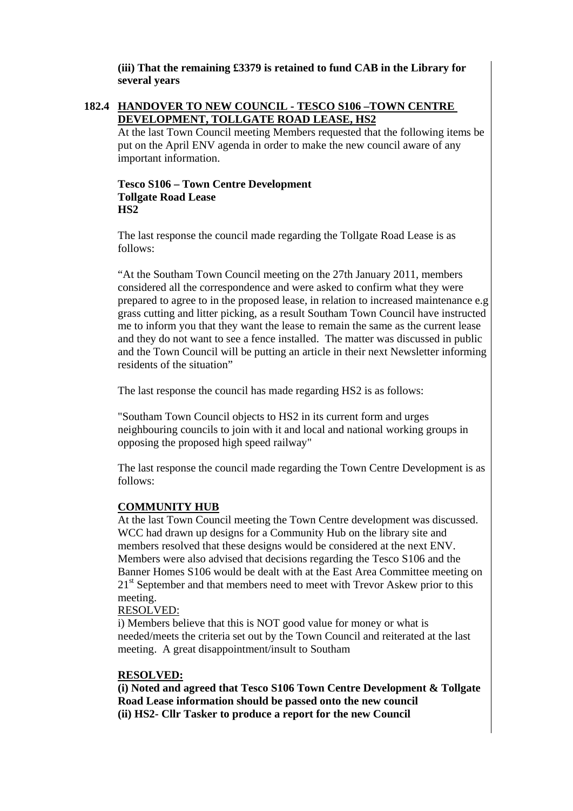**(iii) That the remaining £3379 is retained to fund CAB in the Library for several years** 

#### **182.4 HANDOVER TO NEW COUNCIL - TESCO S106 –TOWN CENTRE DEVELOPMENT, TOLLGATE ROAD LEASE, HS2**

At the last Town Council meeting Members requested that the following items be put on the April ENV agenda in order to make the new council aware of any important information.

#### **Tesco S106 – Town Centre Development Tollgate Road Lease HS2**

The last response the council made regarding the Tollgate Road Lease is as follows:

"At the Southam Town Council meeting on the 27th January 2011, members considered all the correspondence and were asked to confirm what they were prepared to agree to in the proposed lease, in relation to increased maintenance e.g grass cutting and litter picking, as a result Southam Town Council have instructed me to inform you that they want the lease to remain the same as the current lease and they do not want to see a fence installed. The matter was discussed in public and the Town Council will be putting an article in their next Newsletter informing residents of the situation"

The last response the council has made regarding HS2 is as follows:

"Southam Town Council objects to HS2 in its current form and urges neighbouring councils to join with it and local and national working groups in opposing the proposed high speed railway"

The last response the council made regarding the Town Centre Development is as follows:

#### **COMMUNITY HUB**

At the last Town Council meeting the Town Centre development was discussed. WCC had drawn up designs for a Community Hub on the library site and members resolved that these designs would be considered at the next ENV. Members were also advised that decisions regarding the Tesco S106 and the Banner Homes S106 would be dealt with at the East Area Committee meeting on 21<sup>st</sup> September and that members need to meet with Trevor Askew prior to this meeting.

#### RESOLVED:

i) Members believe that this is NOT good value for money or what is needed/meets the criteria set out by the Town Council and reiterated at the last meeting. A great disappointment/insult to Southam

#### **RESOLVED:**

 **(i) Noted and agreed that Tesco S106 Town Centre Development & Tollgate Road Lease information should be passed onto the new council (ii) HS2- Cllr Tasker to produce a report for the new Council**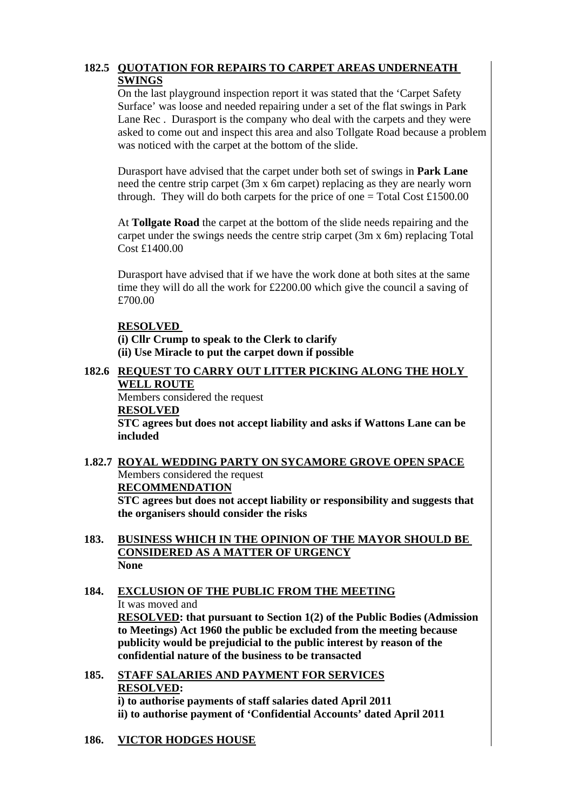# **182.5 QUOTATION FOR REPAIRS TO CARPET AREAS UNDERNEATH SWINGS**

On the last playground inspection report it was stated that the 'Carpet Safety Surface' was loose and needed repairing under a set of the flat swings in Park Lane Rec . Durasport is the company who deal with the carpets and they were asked to come out and inspect this area and also Tollgate Road because a problem was noticed with the carpet at the bottom of the slide.

Durasport have advised that the carpet under both set of swings in **Park Lane** need the centre strip carpet (3m x 6m carpet) replacing as they are nearly worn through. They will do both carpets for the price of one  $=$  Total Cost £1500.00

At **Tollgate Road** the carpet at the bottom of the slide needs repairing and the carpet under the swings needs the centre strip carpet (3m x 6m) replacing Total Cost £1400.00

Durasport have advised that if we have the work done at both sites at the same time they will do all the work for £2200.00 which give the council a saving of £700.00

#### **RESOLVED**

 **(i) Cllr Crump to speak to the Clerk to clarify (ii) Use Miracle to put the carpet down if possible** 

#### **182.6 REQUEST TO CARRY OUT LITTER PICKING ALONG THE HOLY WELL ROUTE**

Members considered the request **RESOLVED STC agrees but does not accept liability and asks if Wattons Lane can be included** 

#### **1.82.7 ROYAL WEDDING PARTY ON SYCAMORE GROVE OPEN SPACE** Members considered the request **RECOMMENDATION STC agrees but does not accept liability or responsibility and suggests that the organisers should consider the risks**

- **183. BUSINESS WHICH IN THE OPINION OF THE MAYOR SHOULD BE CONSIDERED AS A MATTER OF URGENCY None**
- **184. EXCLUSION OF THE PUBLIC FROM THE MEETING** It was moved and **RESOLVED: that pursuant to Section 1(2) of the Public Bodies (Admission to Meetings) Act 1960 the public be excluded from the meeting because publicity would be prejudicial to the public interest by reason of the confidential nature of the business to be transacted**
- **185. STAFF SALARIES AND PAYMENT FOR SERVICES RESOLVED: i) to authorise payments of staff salaries dated April 2011 ii) to authorise payment of 'Confidential Accounts' dated April 2011**
- **186. VICTOR HODGES HOUSE**